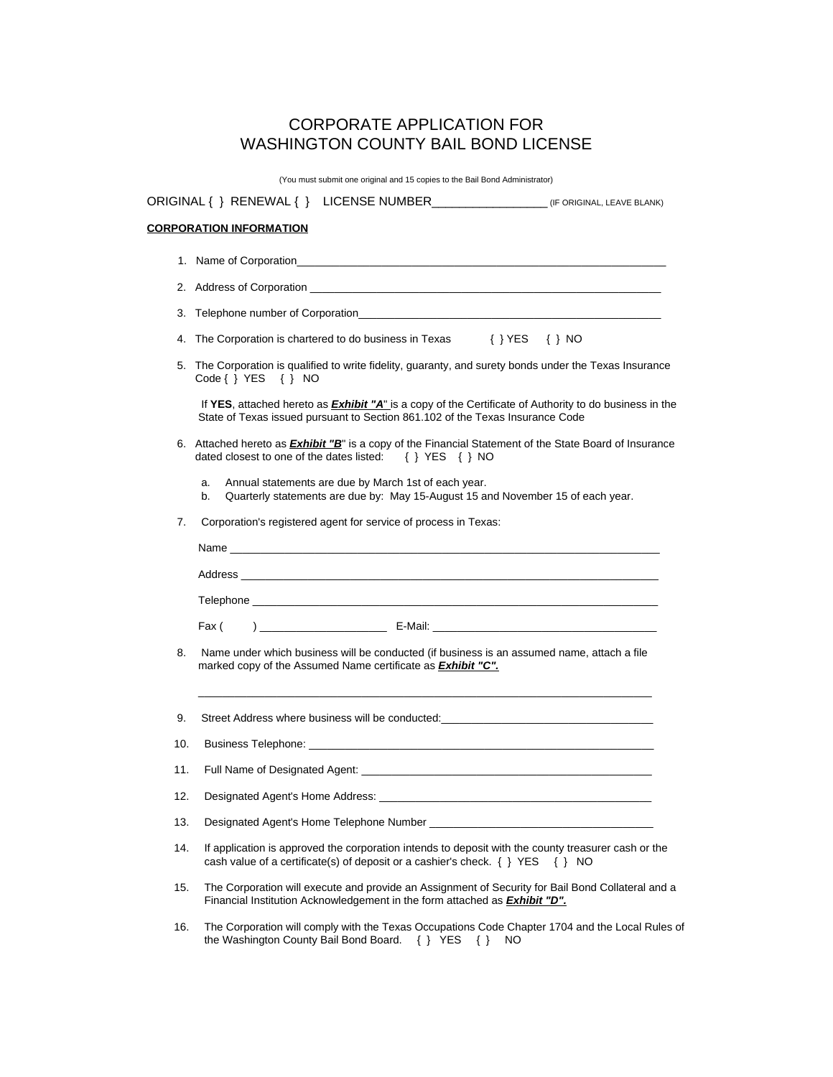### CORPORATE APPLICATION FOR WASHINGTON COUNTY BAIL BOND LICENSE

(You must submit one original and 15 copies to the Bail Bond Administrator)

|     | <b>CORPORATION INFORMATION</b>                                                                                                                                                                                                |  |  |  |  |
|-----|-------------------------------------------------------------------------------------------------------------------------------------------------------------------------------------------------------------------------------|--|--|--|--|
|     |                                                                                                                                                                                                                               |  |  |  |  |
|     |                                                                                                                                                                                                                               |  |  |  |  |
| 3.  |                                                                                                                                                                                                                               |  |  |  |  |
| 4.  | The Corporation is chartered to do business in Texas $\{ \}$ YES $\{ \}$ NO                                                                                                                                                   |  |  |  |  |
| 5.  | The Corporation is qualified to write fidelity, guaranty, and surety bonds under the Texas Insurance<br>$Code\{\}$ YES $\{\}$ NO                                                                                              |  |  |  |  |
|     | If YES, attached hereto as <b>Exhibit "A"</b> is a copy of the Certificate of Authority to do business in the<br>State of Texas issued pursuant to Section 861.102 of the Texas Insurance Code                                |  |  |  |  |
|     | 6. Attached hereto as <b>Exhibit "B</b> " is a copy of the Financial Statement of the State Board of Insurance<br>dated closest to one of the dates listed: $\{ \}$ YES $\{ \}$ NO                                            |  |  |  |  |
|     | Annual statements are due by March 1st of each year.<br>a.<br>Quarterly statements are due by: May 15-August 15 and November 15 of each year.<br>b.                                                                           |  |  |  |  |
| 7.  | Corporation's registered agent for service of process in Texas:                                                                                                                                                               |  |  |  |  |
|     |                                                                                                                                                                                                                               |  |  |  |  |
|     |                                                                                                                                                                                                                               |  |  |  |  |
|     |                                                                                                                                                                                                                               |  |  |  |  |
|     | Fax (                                                                                                                                                                                                                         |  |  |  |  |
| 8.  | Name under which business will be conducted (if business is an assumed name, attach a file<br>marked copy of the Assumed Name certificate as <b>Exhibit "C"</b> .                                                             |  |  |  |  |
| 9.  |                                                                                                                                                                                                                               |  |  |  |  |
| 10. |                                                                                                                                                                                                                               |  |  |  |  |
| 11. |                                                                                                                                                                                                                               |  |  |  |  |
| 12. | Designated Agent's Home Address: New York Changes and Changes and Changes and Changes and Changes and Changes and Changes and Changes and Changes and Changes and Changes and Changes and Changes and Changes and Changes and |  |  |  |  |
| 13. | Designated Agent's Home Telephone Number League and Contact the Control of Designated Agent Services                                                                                                                          |  |  |  |  |
| 14. | If application is approved the corporation intends to deposit with the county treasurer cash or the<br>cash value of a certificate(s) of deposit or a cashier's check. $\{ \}$ YES $\{ \}$ NO                                 |  |  |  |  |
| 15. | The Corporation will execute and provide an Assignment of Security for Bail Bond Collateral and a<br>Financial Institution Acknowledgement in the form attached as <b>Exhibit "D"</b> .                                       |  |  |  |  |
| 16. | The Corporation will comply with the Texas Occupations Code Chapter 1704 and the Local Rules of                                                                                                                               |  |  |  |  |

the Washington County Bail Bond Board. { } YES { } NO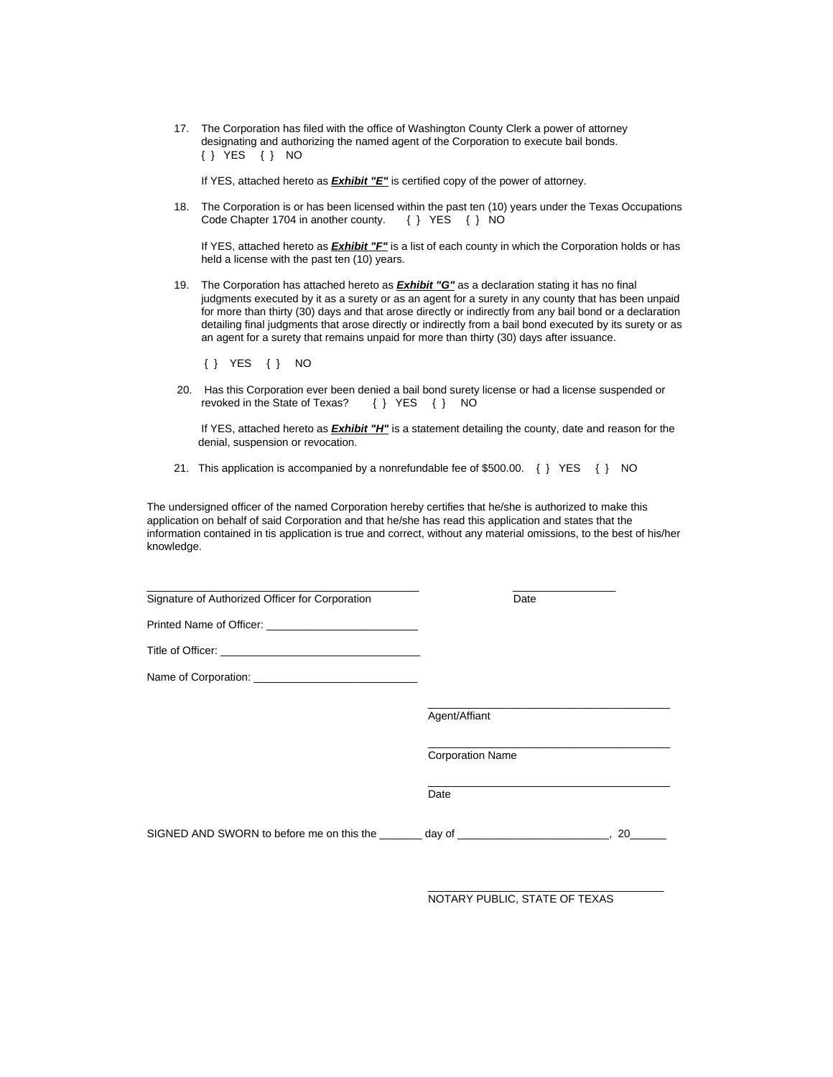17. The Corporation has filed with the office of Washington County Clerk a power of attorney designating and authorizing the named agent of the Corporation to execute bail bonds. { } YES { } NO

If YES, attached hereto as *Exhibit "E"* is certified copy of the power of attorney.

 18. The Corporation is or has been licensed within the past ten (10) years under the Texas Occupations Code Chapter 1704 in another county. { } YES { } NO

 If YES, attached hereto as *Exhibit "F"* is a list of each county in which the Corporation holds or has held a license with the past ten (10) years.

 19. The Corporation has attached hereto as *Exhibit "G"* as a declaration stating it has no final judgments executed by it as a surety or as an agent for a surety in any county that has been unpaid for more than thirty (30) days and that arose directly or indirectly from any bail bond or a declaration detailing final judgments that arose directly or indirectly from a bail bond executed by its surety or as an agent for a surety that remains unpaid for more than thirty (30) days after issuance.

{ } YES { } NO

20. Has this Corporation ever been denied a bail bond surety license or had a license suspended or revoked in the State of Texas?  $\{\}$  YES  $\{\}$  NO revoked in the State of Texas?

 If YES, attached hereto as *Exhibit "H"* is a statement detailing the county, date and reason for the denial, suspension or revocation.

21. This application is accompanied by a nonrefundable fee of \$500.00. { } YES { } NO

The undersigned officer of the named Corporation hereby certifies that he/she is authorized to make this application on behalf of said Corporation and that he/she has read this application and states that the information contained in tis application is true and correct, without any material omissions, to the best of his/her knowledge.

| Signature of Authorized Officer for Corporation                                                                                                                                                                                | Date                    |
|--------------------------------------------------------------------------------------------------------------------------------------------------------------------------------------------------------------------------------|-------------------------|
|                                                                                                                                                                                                                                |                         |
|                                                                                                                                                                                                                                |                         |
|                                                                                                                                                                                                                                |                         |
|                                                                                                                                                                                                                                | Agent/Affiant           |
|                                                                                                                                                                                                                                | <b>Corporation Name</b> |
|                                                                                                                                                                                                                                | Date                    |
| SIGNED AND SWORN to before me on this the day of discussion of the state of the state of the state of the state of the state of the state of the state of the state of the state of the state of the state of the state of the | 20                      |

 $\_$ 

NOTARY PUBLIC, STATE OF TEXAS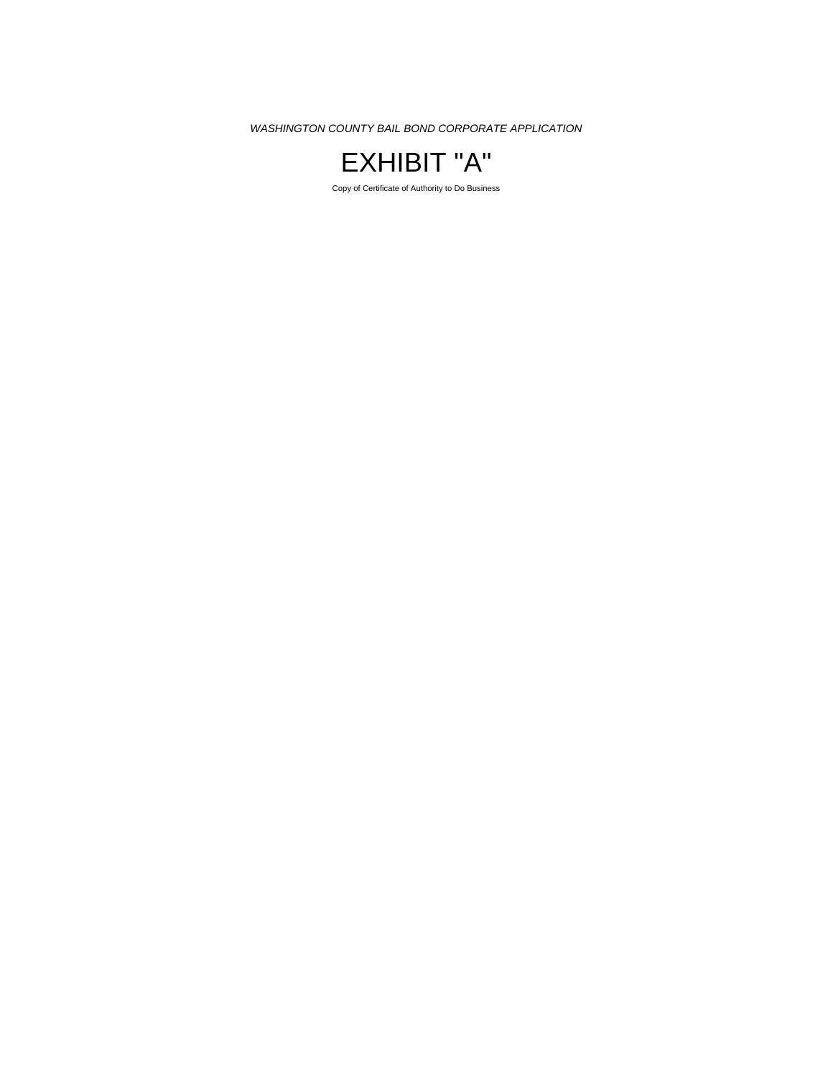

Copy of Certificate of Authority to Do Business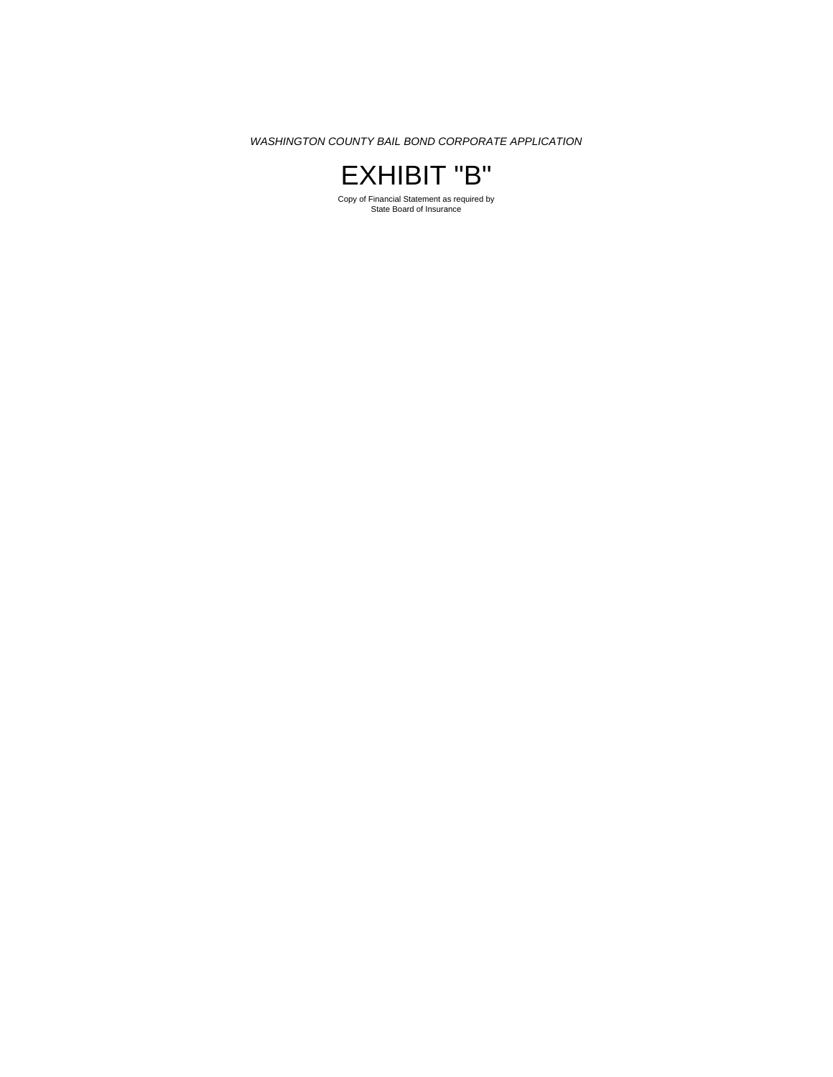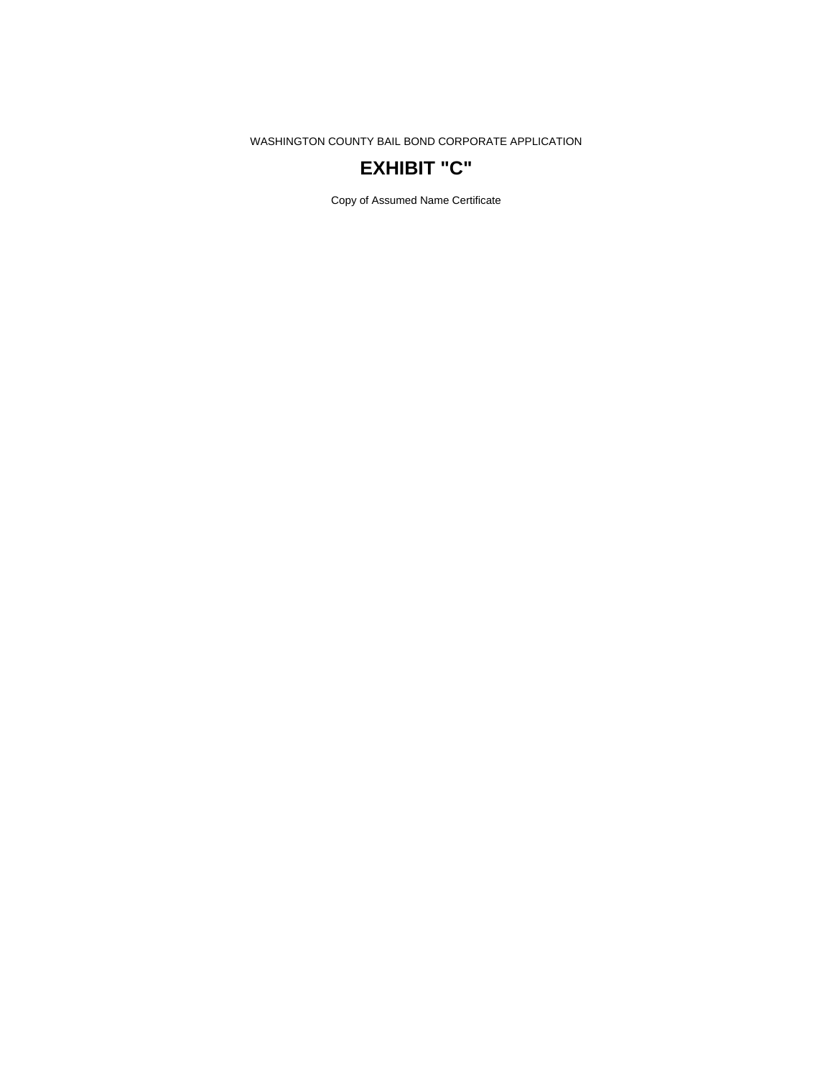## **EXHIBIT "C"**

Copy of Assumed Name Certificate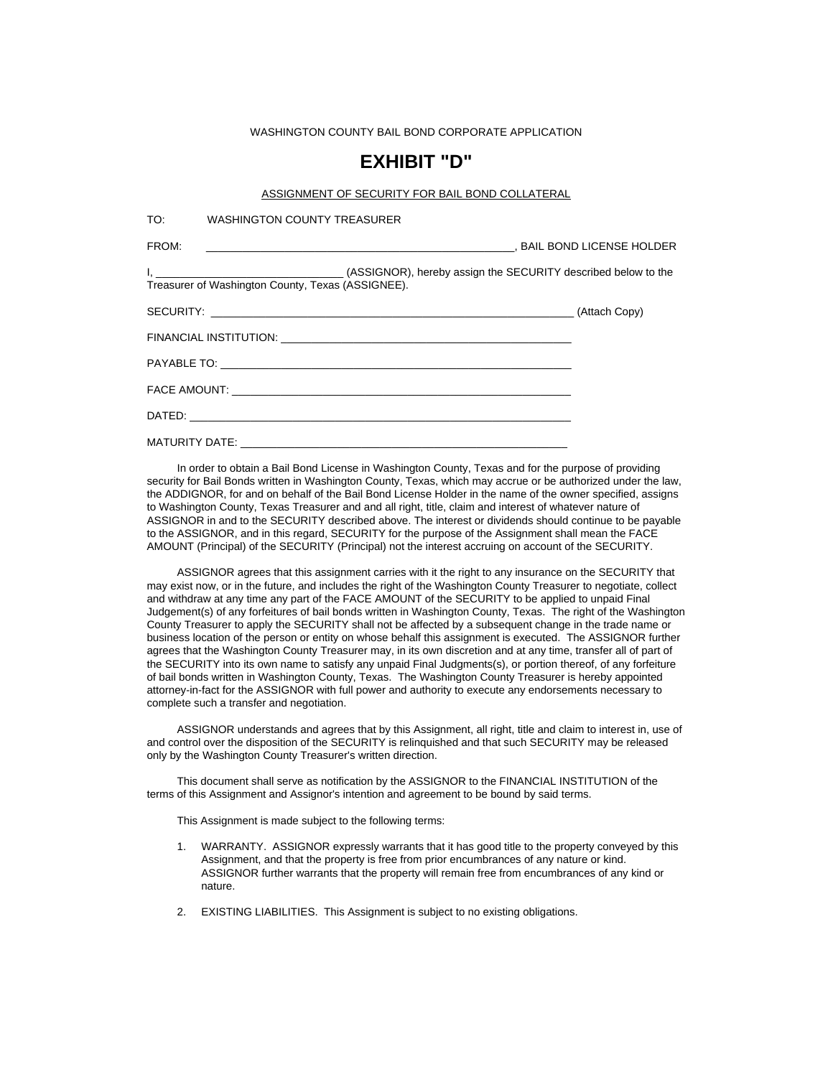### **EXHIBIT "D"**

#### ASSIGNMENT OF SECURITY FOR BAIL BOND COLLATERAL

TO: WASHINGTON COUNTY TREASURER

FROM: \_\_\_\_\_\_\_\_\_\_\_\_\_\_\_\_\_\_\_\_\_\_\_\_\_\_\_\_\_\_\_\_\_\_\_\_\_\_\_\_\_\_\_\_\_\_\_\_\_\_\_, BAIL BOND LICENSE HOLDER I, \_\_\_\_\_\_\_\_\_\_\_\_\_\_\_\_\_\_\_\_\_\_\_\_\_\_\_\_\_\_\_ (ASSIGNOR), hereby assign the SECURITY described below to the Treasurer of Washington County, Texas (ASSIGNEE). SECURITY: \_\_\_\_\_\_\_\_\_\_\_\_\_\_\_\_\_\_\_\_\_\_\_\_\_\_\_\_\_\_\_\_\_\_\_\_\_\_\_\_\_\_\_\_\_\_\_\_\_\_\_\_\_\_\_\_\_\_\_\_ (Attach Copy) FINANCIAL INSTITUTION: \_\_\_\_\_\_\_\_\_\_\_\_\_\_\_\_\_\_\_\_\_\_\_\_\_\_\_\_\_\_\_\_\_\_\_\_\_\_\_\_\_\_\_\_\_\_\_\_ PAYABLE TO: FACE AMOUNT:  $DATAED:$ MATURITY DATE:

 In order to obtain a Bail Bond License in Washington County, Texas and for the purpose of providing security for Bail Bonds written in Washington County, Texas, which may accrue or be authorized under the law, the ADDIGNOR, for and on behalf of the Bail Bond License Holder in the name of the owner specified, assigns to Washington County, Texas Treasurer and and all right, title, claim and interest of whatever nature of ASSIGNOR in and to the SECURITY described above. The interest or dividends should continue to be payable to the ASSIGNOR, and in this regard, SECURITY for the purpose of the Assignment shall mean the FACE AMOUNT (Principal) of the SECURITY (Principal) not the interest accruing on account of the SECURITY.

 ASSIGNOR agrees that this assignment carries with it the right to any insurance on the SECURITY that may exist now, or in the future, and includes the right of the Washington County Treasurer to negotiate, collect and withdraw at any time any part of the FACE AMOUNT of the SECURITY to be applied to unpaid Final Judgement(s) of any forfeitures of bail bonds written in Washington County, Texas. The right of the Washington County Treasurer to apply the SECURITY shall not be affected by a subsequent change in the trade name or business location of the person or entity on whose behalf this assignment is executed. The ASSIGNOR further agrees that the Washington County Treasurer may, in its own discretion and at any time, transfer all of part of the SECURITY into its own name to satisfy any unpaid Final Judgments(s), or portion thereof, of any forfeiture of bail bonds written in Washington County, Texas. The Washington County Treasurer is hereby appointed attorney-in-fact for the ASSIGNOR with full power and authority to execute any endorsements necessary to complete such a transfer and negotiation.

 ASSIGNOR understands and agrees that by this Assignment, all right, title and claim to interest in, use of and control over the disposition of the SECURITY is relinquished and that such SECURITY may be released only by the Washington County Treasurer's written direction.

 This document shall serve as notification by the ASSIGNOR to the FINANCIAL INSTITUTION of the terms of this Assignment and Assignor's intention and agreement to be bound by said terms.

This Assignment is made subject to the following terms:

- 1. WARRANTY. ASSIGNOR expressly warrants that it has good title to the property conveyed by this Assignment, and that the property is free from prior encumbrances of any nature or kind. ASSIGNOR further warrants that the property will remain free from encumbrances of any kind or nature.
- 2. EXISTING LIABILITIES. This Assignment is subject to no existing obligations.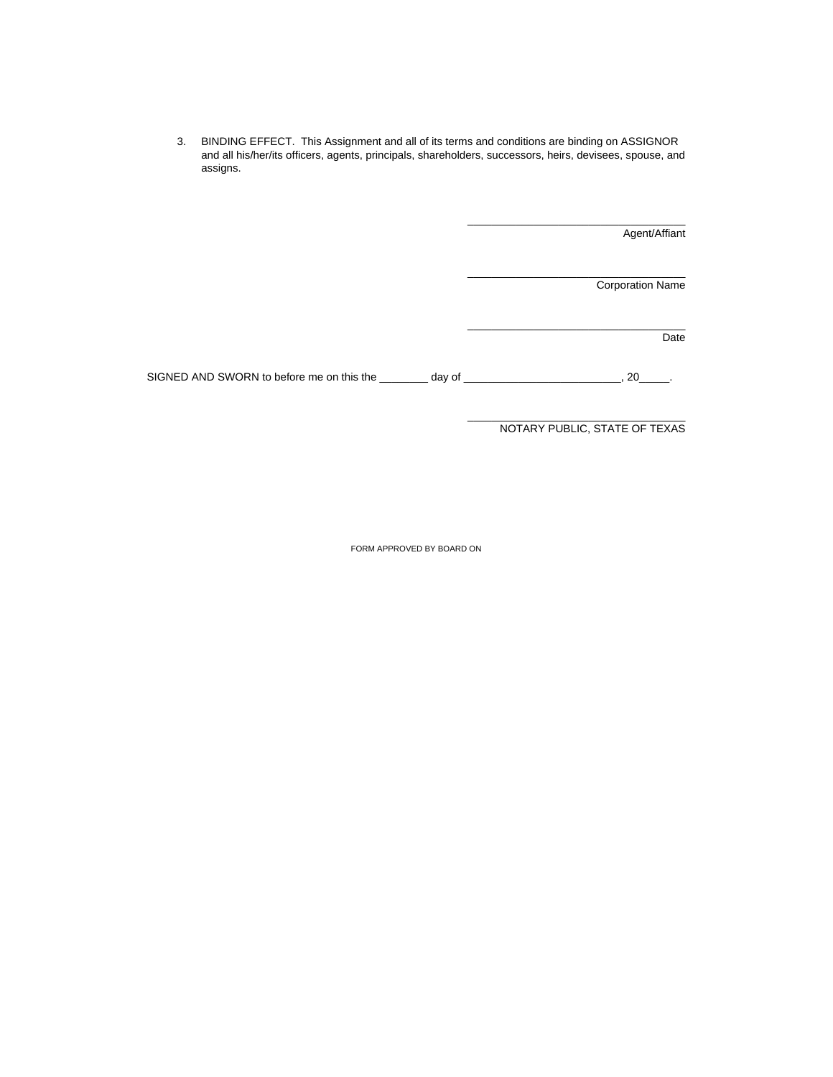3. BINDING EFFECT. This Assignment and all of its terms and conditions are binding on ASSIGNOR and all his/her/its officers, agents, principals, shareholders, successors, heirs, devisees, spouse, and assigns.

Agent/Affiant

Corporation Name

Date

SIGNED AND SWORN to before me on this the \_\_\_\_\_\_\_ day of \_\_\_\_\_\_\_\_\_\_\_\_\_\_\_\_\_\_\_\_\_\_\_, 20\_\_\_\_.

\_\_\_\_\_\_\_\_\_\_\_\_\_\_\_\_\_\_\_\_\_\_\_\_\_\_\_\_\_\_\_\_\_\_\_\_ NOTARY PUBLIC, STATE OF TEXAS

\_\_\_\_\_\_\_\_\_\_\_\_\_\_\_\_\_\_\_\_\_\_\_\_\_\_\_\_\_\_\_\_\_\_\_\_

\_\_\_\_\_\_\_\_\_\_\_\_\_\_\_\_\_\_\_\_\_\_\_\_\_\_\_\_\_\_\_\_\_\_\_\_

\_\_\_\_\_\_\_\_\_\_\_\_\_\_\_\_\_\_\_\_\_\_\_\_\_\_\_\_\_\_\_\_\_\_\_\_

FORM APPROVED BY BOARD ON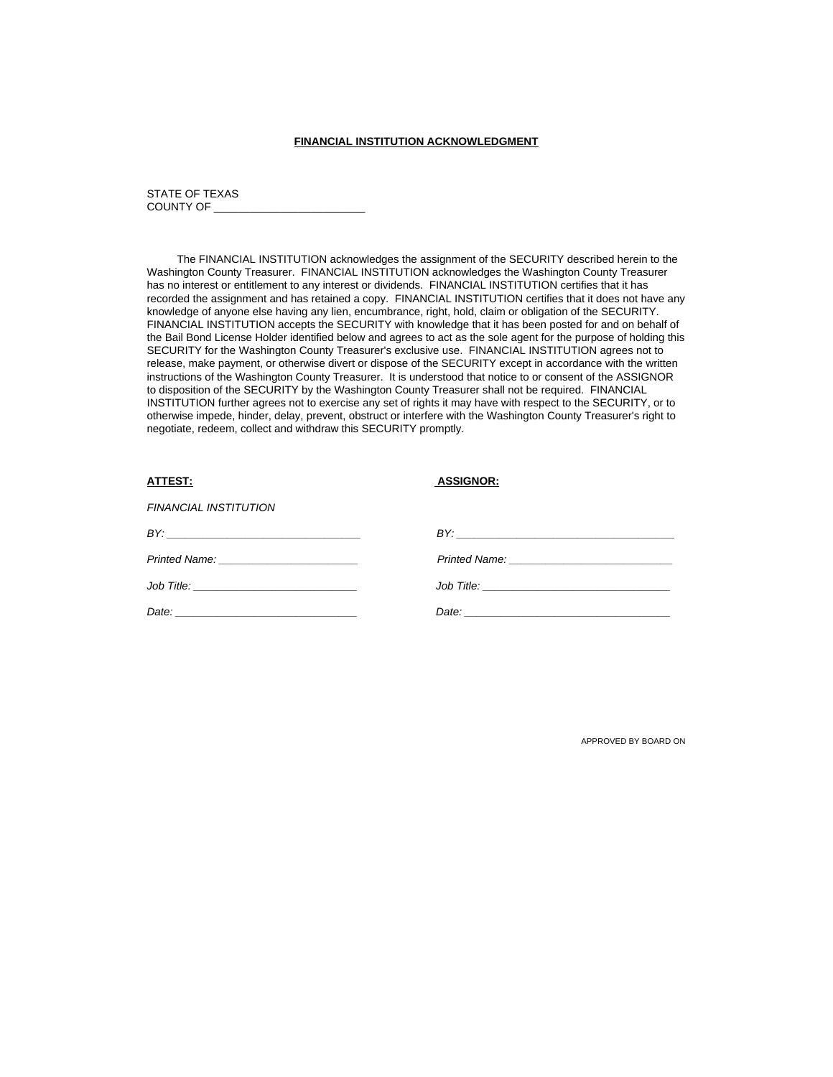#### **FINANCIAL INSTITUTION ACKNOWLEDGMENT**

#### STATE OF TEXAS COUNTY OF

 The FINANCIAL INSTITUTION acknowledges the assignment of the SECURITY described herein to the Washington County Treasurer. FINANCIAL INSTITUTION acknowledges the Washington County Treasurer has no interest or entitlement to any interest or dividends. FINANCIAL INSTITUTION certifies that it has recorded the assignment and has retained a copy. FINANCIAL INSTITUTION certifies that it does not have any knowledge of anyone else having any lien, encumbrance, right, hold, claim or obligation of the SECURITY. FINANCIAL INSTITUTION accepts the SECURITY with knowledge that it has been posted for and on behalf of the Bail Bond License Holder identified below and agrees to act as the sole agent for the purpose of holding this SECURITY for the Washington County Treasurer's exclusive use. FINANCIAL INSTITUTION agrees not to release, make payment, or otherwise divert or dispose of the SECURITY except in accordance with the written instructions of the Washington County Treasurer. It is understood that notice to or consent of the ASSIGNOR to disposition of the SECURITY by the Washington County Treasurer shall not be required. FINANCIAL INSTITUTION further agrees not to exercise any set of rights it may have with respect to the SECURITY, or to otherwise impede, hinder, delay, prevent, obstruct or interfere with the Washington County Treasurer's right to negotiate, redeem, collect and withdraw this SECURITY promptly.

| ATTEST:                      | <b>ASSIGNOR:</b> |
|------------------------------|------------------|
| <b>FINANCIAL INSTITUTION</b> |                  |
| BY:                          |                  |
|                              |                  |
|                              |                  |
|                              |                  |

APPROVED BY BOARD ON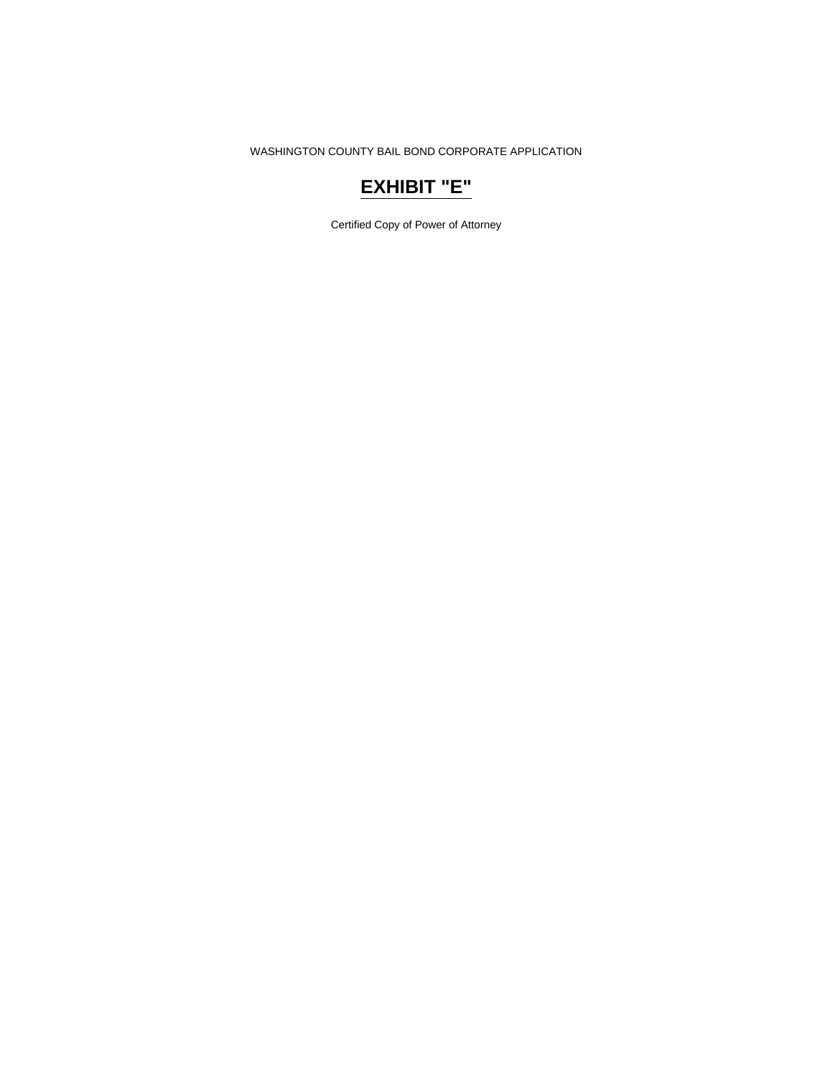## **EXHIBIT "E"**

Certified Copy of Power of Attorney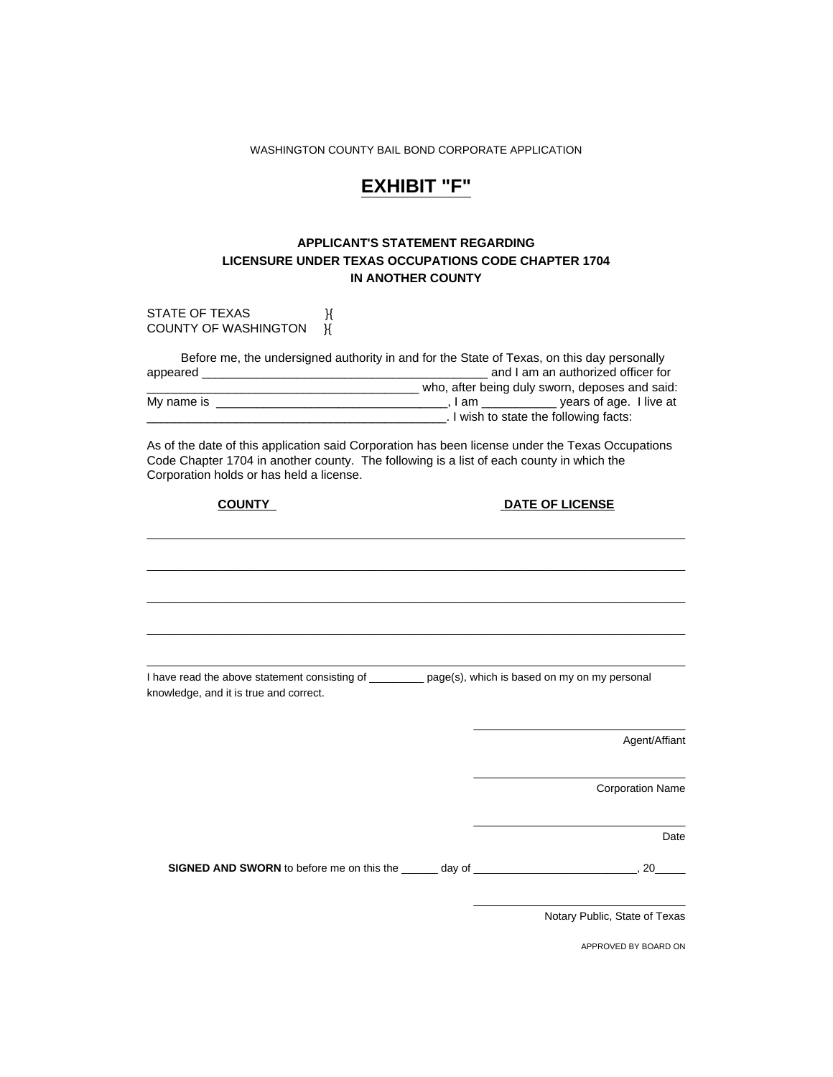## **EXHIBIT "F"**

### **APPLICANT'S STATEMENT REGARDING LICENSURE UNDER TEXAS OCCUPATIONS CODE CHAPTER 1704 IN ANOTHER COUNTY**

| STATE OF TEXAS<br>К<br><b>COUNTY OF WASHINGTON</b><br>К                                                                                                                                                                                  |                                                |
|------------------------------------------------------------------------------------------------------------------------------------------------------------------------------------------------------------------------------------------|------------------------------------------------|
| Before me, the undersigned authority in and for the State of Texas, on this day personally<br>Let us a limit of the following facts:                                                                                                     | who, after being duly sworn, deposes and said: |
| As of the date of this application said Corporation has been license under the Texas Occupations<br>Code Chapter 1704 in another county. The following is a list of each county in which the<br>Corporation holds or has held a license. |                                                |
| <b>COUNTY</b>                                                                                                                                                                                                                            | <b>DATE OF LICENSE</b>                         |
|                                                                                                                                                                                                                                          |                                                |
|                                                                                                                                                                                                                                          |                                                |
|                                                                                                                                                                                                                                          |                                                |
| I have read the above statement consisting of ________ page(s), which is based on my on my personal<br>knowledge, and it is true and correct.                                                                                            |                                                |
|                                                                                                                                                                                                                                          | Agent/Affiant                                  |
|                                                                                                                                                                                                                                          | <b>Corporation Name</b>                        |
|                                                                                                                                                                                                                                          | Date                                           |
| SIGNED AND SWORN to before me on this the ______ day of __________________________, 20_____                                                                                                                                              |                                                |
|                                                                                                                                                                                                                                          | Notary Public, State of Texas                  |

APPROVED BY BOARD ON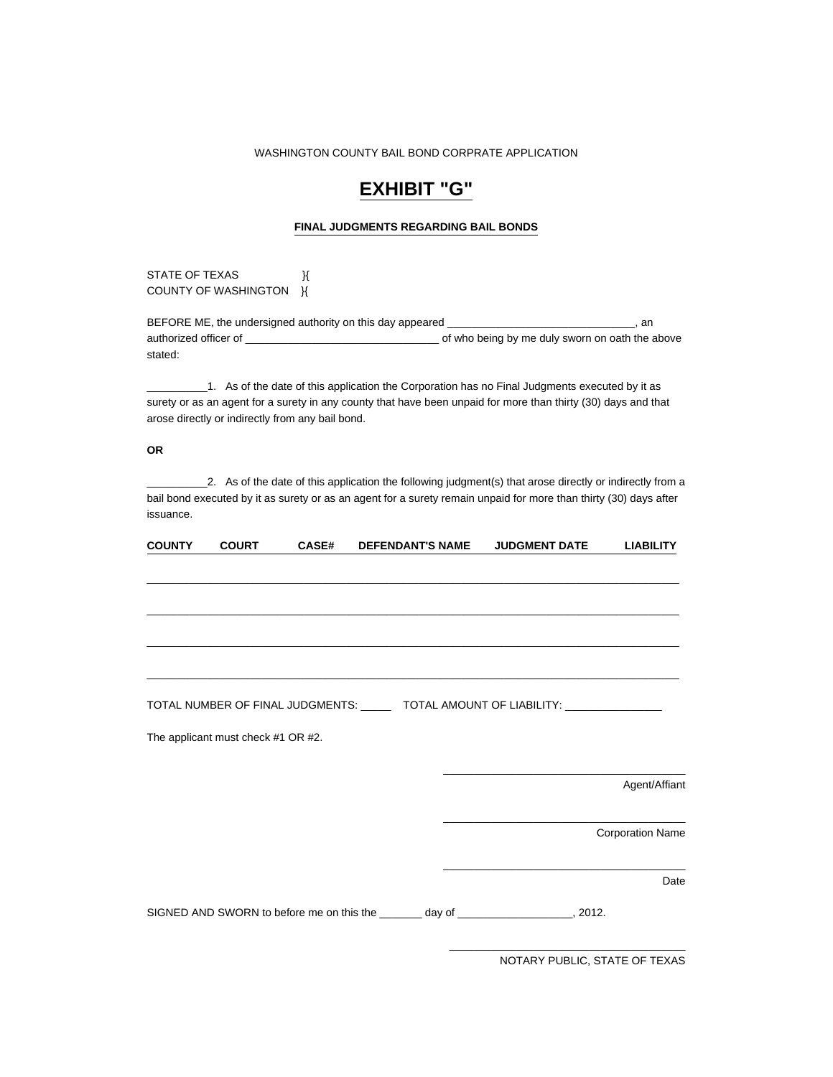## **EXHIBIT "G"**

#### **FINAL JUDGMENTS REGARDING BAIL BONDS**

STATE OF TEXAS  $\mathcal{H}$ COUNTY OF WASHINGTON **}{** 

BEFORE ME, the undersigned authority on this day appeared \_\_\_\_\_\_\_\_\_\_\_\_\_\_\_\_\_\_\_\_\_\_\_\_\_\_\_\_\_\_, an authorized officer of \_\_\_\_\_\_\_\_\_\_\_\_\_\_\_\_\_\_\_\_\_\_\_\_\_\_\_\_\_\_\_\_ of who being by me duly sworn on oath the above stated:

 $\_1$ . As of the date of this application the Corporation has no Final Judgments executed by it as surety or as an agent for a surety in any county that have been unpaid for more than thirty (30) days and that arose directly or indirectly from any bail bond.

#### **OR**

\_\_\_\_\_\_\_\_\_\_2. As of the date of this application the following judgment(s) that arose directly or indirectly from a bail bond executed by it as surety or as an agent for a surety remain unpaid for more than thirty (30) days after issuance.

| <b>COUNTY</b> | <b>COURT</b>                       | <b>CASE#</b> | <b>DEFENDANT'S NAME</b> | <b>JUDGMENT DATE</b>                                                                 | <b>LIABILITY</b>        |
|---------------|------------------------------------|--------------|-------------------------|--------------------------------------------------------------------------------------|-------------------------|
|               |                                    |              |                         |                                                                                      |                         |
|               |                                    |              |                         |                                                                                      |                         |
|               |                                    |              |                         |                                                                                      |                         |
|               |                                    |              |                         |                                                                                      |                         |
|               |                                    |              |                         |                                                                                      |                         |
|               |                                    |              |                         |                                                                                      |                         |
|               |                                    |              |                         | TOTAL NUMBER OF FINAL JUDGMENTS: _______ TOTAL AMOUNT OF LIABILITY: _____________    |                         |
|               | The applicant must check #1 OR #2. |              |                         |                                                                                      |                         |
|               |                                    |              |                         |                                                                                      |                         |
|               |                                    |              |                         |                                                                                      | Agent/Affiant           |
|               |                                    |              |                         |                                                                                      |                         |
|               |                                    |              |                         |                                                                                      | <b>Corporation Name</b> |
|               |                                    |              |                         |                                                                                      |                         |
|               |                                    |              |                         |                                                                                      | Date                    |
|               |                                    |              |                         | SIGNED AND SWORN to before me on this the _______ day of ____________________, 2012. |                         |

NOTARY PUBLIC, STATE OF TEXAS

\_\_\_\_\_\_\_\_\_\_\_\_\_\_\_\_\_\_\_\_\_\_\_\_\_\_\_\_\_\_\_\_\_\_\_\_\_\_\_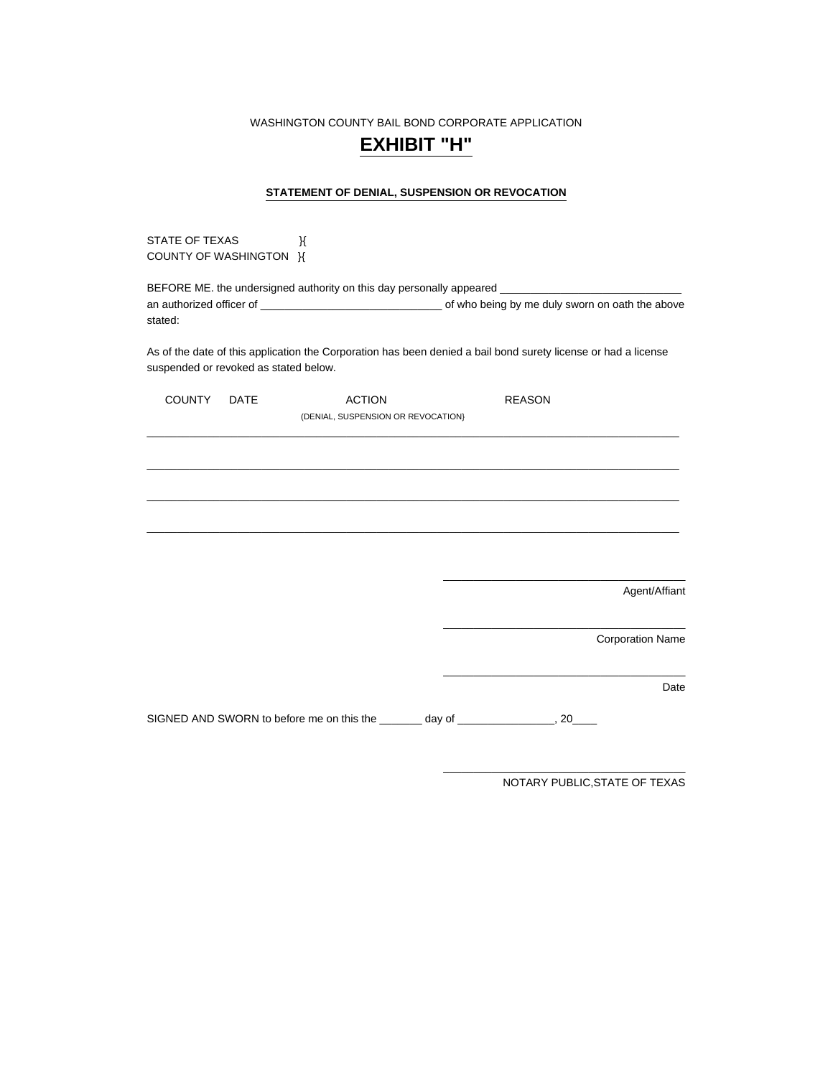### **EXHIBIT "H"**

#### **STATEMENT OF DENIAL, SUSPENSION OR REVOCATION**

STATE OF TEXAS **BEF** COUNTY OF WASHINGTON }{

BEFORE ME. the undersigned authority on this day personally appeared \_ an authorized officer of \_\_\_\_\_\_\_\_\_\_\_\_\_\_\_\_\_\_\_\_\_\_\_\_\_\_\_\_\_\_ of who being by me duly sworn on oath the above stated:

As of the date of this application the Corporation has been denied a bail bond surety license or had a license suspended or revoked as stated below.

| COUNTY DATE | <b>ACTION</b>                                                           | <b>REASON</b> |                         |
|-------------|-------------------------------------------------------------------------|---------------|-------------------------|
|             | (DENIAL, SUSPENSION OR REVOCATION)                                      |               |                         |
|             |                                                                         |               |                         |
|             |                                                                         |               |                         |
|             |                                                                         |               |                         |
|             |                                                                         |               |                         |
|             |                                                                         |               |                         |
|             |                                                                         |               |                         |
|             |                                                                         |               |                         |
|             |                                                                         |               | Agent/Affiant           |
|             |                                                                         |               |                         |
|             |                                                                         |               | <b>Corporation Name</b> |
|             |                                                                         |               |                         |
|             |                                                                         |               | Date                    |
|             | SIGNED AND SWORN to before me on this the _______ day of ______________ | . 20          |                         |

NOTARY PUBLIC,STATE OF TEXAS

\_\_\_\_\_\_\_\_\_\_\_\_\_\_\_\_\_\_\_\_\_\_\_\_\_\_\_\_\_\_\_\_\_\_\_\_\_\_\_\_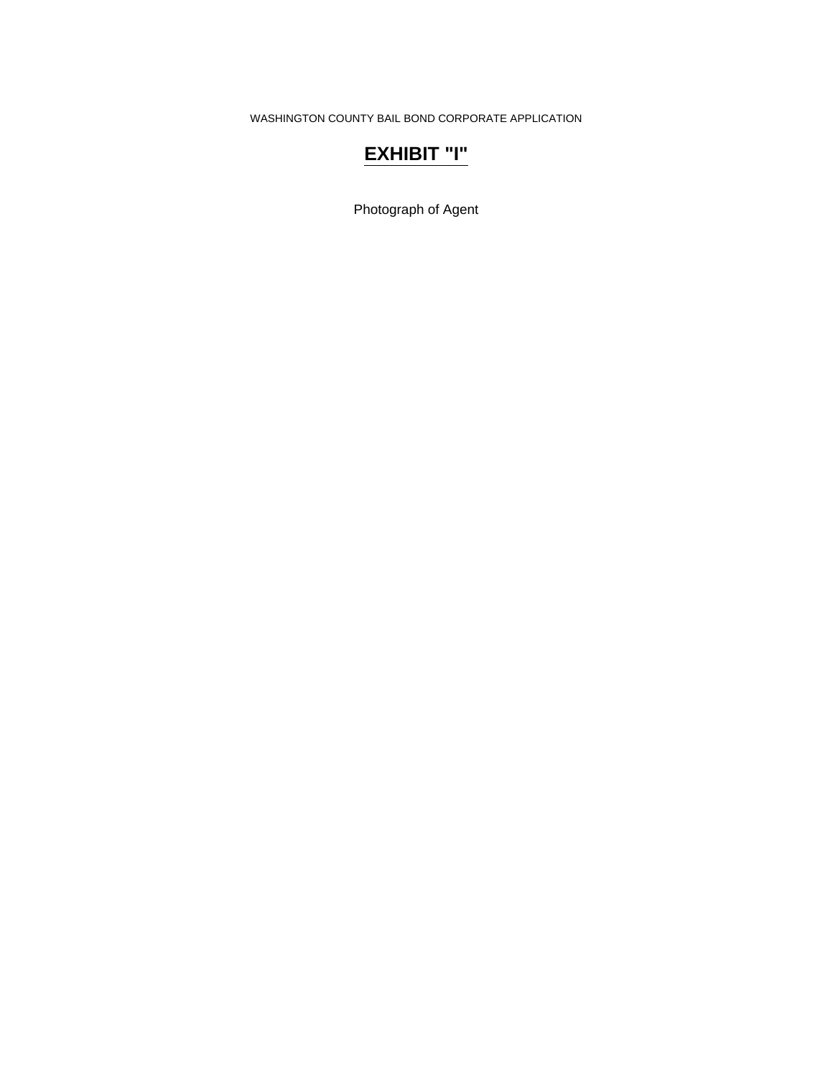## **EXHIBIT "I"**

Photograph of Agent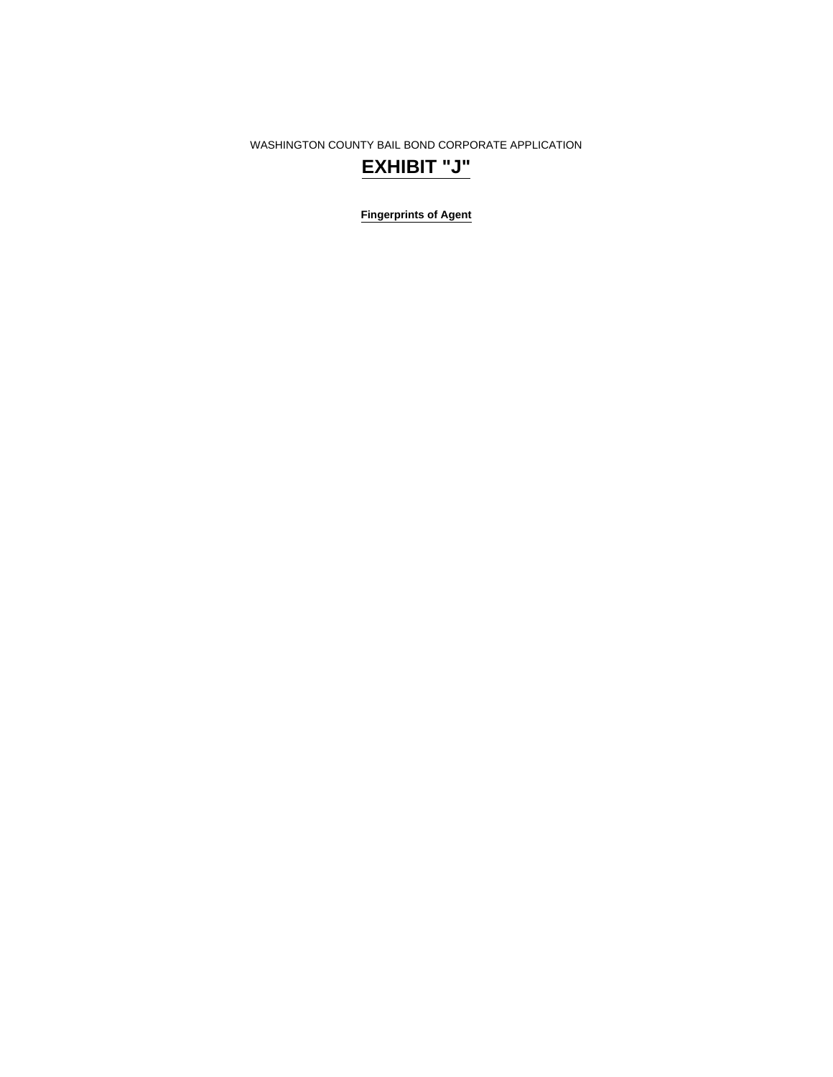**Fingerprints of Agent** 

# **EXHIBIT "J"**

WASHINGTON COUNTY BAIL BOND CORPORATE APPLICATION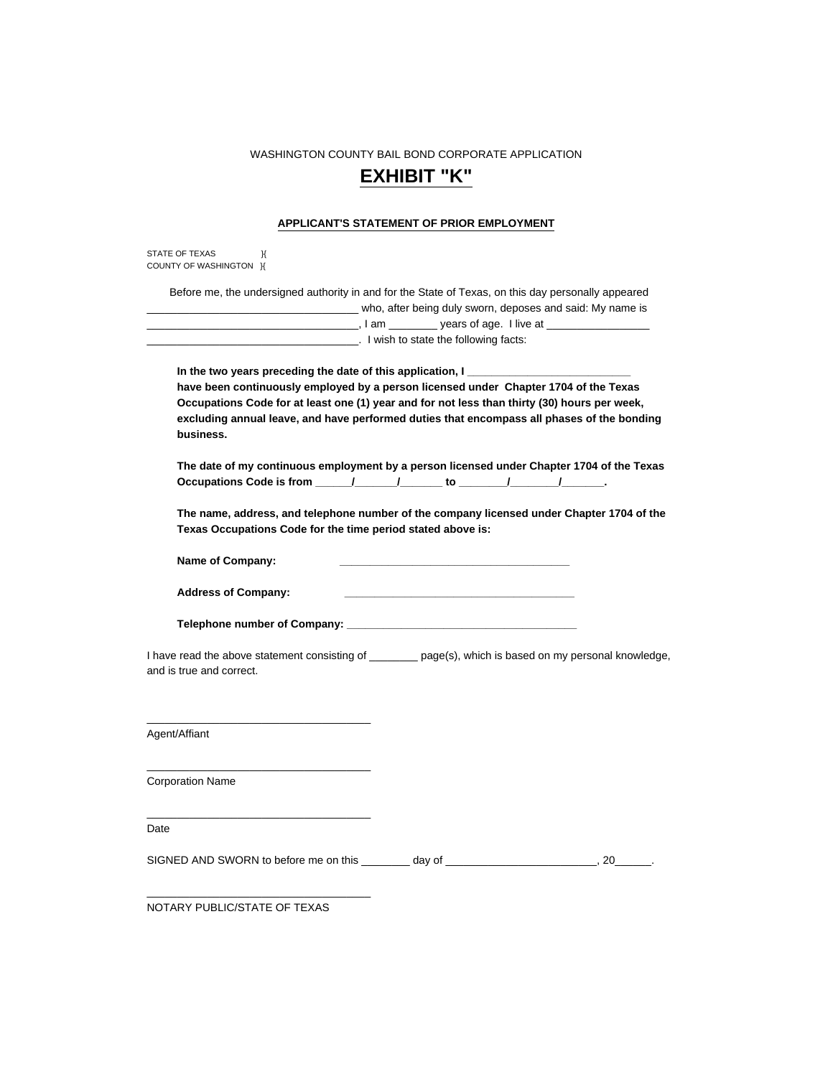### **EXHIBIT "K"**

#### **APPLICANT'S STATEMENT OF PRIOR EMPLOYMENT**

| STATE OF TEXAS         |  |
|------------------------|--|
| COUNTY OF WASHINGTON H |  |

 Before me, the undersigned authority in and for the State of Texas, on this day personally appeared \_\_\_\_\_\_\_\_\_\_\_\_\_\_\_\_\_\_\_\_\_\_\_\_\_\_\_\_\_\_\_\_\_\_\_ who, after being duly sworn, deposes and said: My name is \_\_\_\_, I am \_\_\_\_\_\_\_\_\_\_\_ years of age. I live at \_\_\_ \_\_\_\_\_\_\_\_\_\_\_\_\_\_\_\_\_\_\_\_\_\_\_\_\_\_\_\_\_\_\_\_\_\_\_. I wish to state the following facts:

In the two years preceding the date of this application, I  **have been continuously employed by a person licensed under Chapter 1704 of the Texas Occupations Code for at least one (1) year and for not less than thirty (30) hours per week, excluding annual leave, and have performed duties that encompass all phases of the bonding business.** 

 **The date of my continuous employment by a person licensed under Chapter 1704 of the Texas**  Occupations Code is from \_\_\_\_\_\_/\_\_\_\_\_\_\_/\_\_\_\_\_\_\_ to \_\_\_\_\_\_\_\_/\_\_\_\_\_\_\_\_\_/\_\_\_\_\_\_\_\_.

 **The name, address, and telephone number of the company licensed under Chapter 1704 of the Texas Occupations Code for the time period stated above is:** 

Name of Company:

 **Address of Company: \_\_\_\_\_\_\_\_\_\_\_\_\_\_\_\_\_\_\_\_\_\_\_\_\_\_\_\_\_\_\_\_\_\_\_\_\_\_** 

 **Telephone number of Company: \_\_\_\_\_\_\_\_\_\_\_\_\_\_\_\_\_\_\_\_\_\_\_\_\_\_\_\_\_\_\_\_\_\_\_\_\_\_** 

\_\_\_\_\_\_\_\_\_\_\_\_\_\_\_\_\_\_\_\_\_\_\_\_\_\_\_\_\_\_\_\_\_\_\_\_\_

\_\_\_\_\_\_\_\_\_\_\_\_\_\_\_\_\_\_\_\_\_\_\_\_\_\_\_\_\_\_\_\_\_\_\_\_\_

\_\_\_\_\_\_\_\_\_\_\_\_\_\_\_\_\_\_\_\_\_\_\_\_\_\_\_\_\_\_\_\_\_\_\_\_\_

\_\_\_\_\_\_\_\_\_\_\_\_\_\_\_\_\_\_\_\_\_\_\_\_\_\_\_\_\_\_\_\_\_\_\_\_\_

I have read the above statement consisting of \_\_\_\_\_\_\_\_ page(s), which is based on my personal knowledge, and is true and correct.

Agent/Affiant

Corporation Name

Date

SIGNED AND SWORN to before me on this \_\_\_\_\_\_\_\_ day of \_\_\_\_\_\_\_\_\_\_\_\_\_\_\_\_\_\_\_\_\_\_\_\_, 20\_\_\_\_

NOTARY PUBLIC/STATE OF TEXAS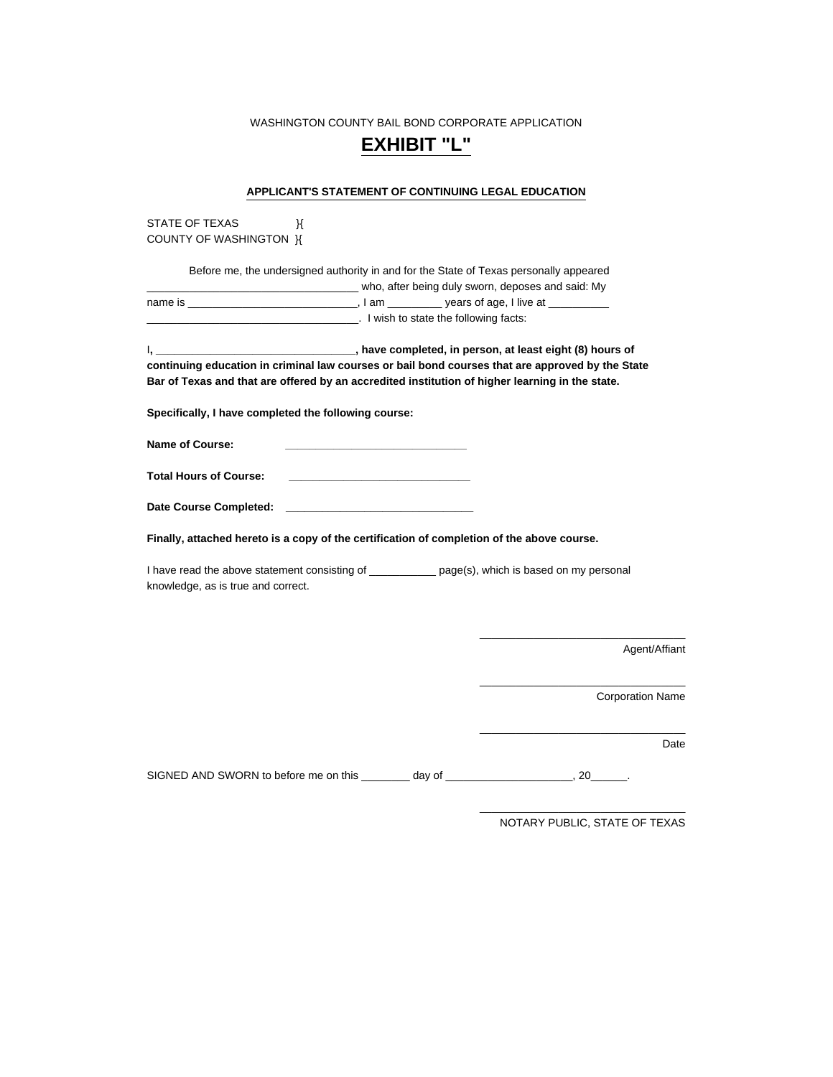### **EXHIBIT "L"**

#### **APPLICANT'S STATEMENT OF CONTINUING LEGAL EDUCATION**

STATE OF TEXAS BY COUNTY OF WASHINGTON }{

 Before me, the undersigned authority in and for the State of Texas personally appeared who, after being duly sworn, deposes and said: My name is \_\_\_\_\_\_\_\_\_\_\_\_\_\_\_\_\_\_\_\_\_\_\_\_\_\_\_\_\_\_\_\_\_, I am \_\_\_\_\_\_\_\_\_\_\_ years of age, I live at \_\_ \_\_\_\_\_\_\_\_\_\_\_\_\_\_\_\_\_\_\_\_\_\_\_\_\_\_\_\_\_\_\_\_\_\_\_. I wish to state the following facts:

I**, \_\_\_\_\_\_\_\_\_\_\_\_\_\_\_\_\_\_\_\_\_\_\_\_\_\_\_\_\_\_\_\_\_, have completed, in person, at least eight (8) hours of continuing education in criminal law courses or bail bond courses that are approved by the State Bar of Texas and that are offered by an accredited institution of higher learning in the state.** 

**Specifically, I have completed the following course:** 

Name of Course:

**Total Hours of Course:** 

| <b>Date Course Completed:</b> |  |
|-------------------------------|--|
|-------------------------------|--|

**Finally, attached hereto is a copy of the certification of completion of the above course.** 

I have read the above statement consisting of \_\_\_\_\_\_\_\_\_\_\_\_\_ page(s), which is based on my personal knowledge, as is true and correct.

Agent/Affiant

Corporation Name

Date

SIGNED AND SWORN to before me on this \_\_\_\_\_\_\_\_ day of \_\_\_\_\_\_\_\_\_\_\_\_\_\_\_\_\_\_\_\_, 20\_\_\_

\_\_\_\_\_\_\_\_\_\_\_\_\_\_\_\_\_\_\_\_\_\_\_\_\_\_\_\_\_\_\_\_\_\_ NOTARY PUBLIC, STATE OF TEXAS

\_\_\_\_\_\_\_\_\_\_\_\_\_\_\_\_\_\_\_\_\_\_\_\_\_\_\_\_\_\_\_\_\_\_

\_\_\_\_\_\_\_\_\_\_\_\_\_\_\_\_\_\_\_\_\_\_\_\_\_\_\_\_\_\_\_\_\_\_

\_\_\_\_\_\_\_\_\_\_\_\_\_\_\_\_\_\_\_\_\_\_\_\_\_\_\_\_\_\_\_\_\_\_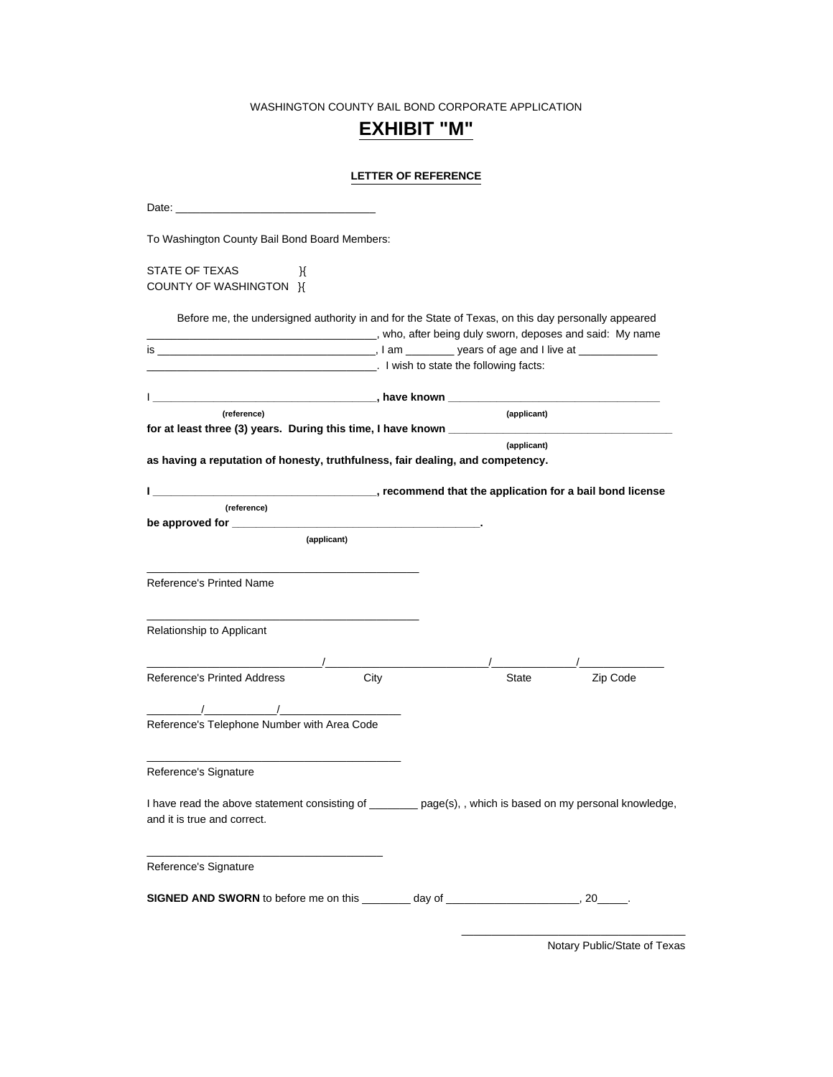## **EXHIBIT "M"**

### **LETTER OF REFERENCE**

| To Washington County Bail Bond Board Members:                                                                                                                                                                                                                                                                                                            |  |             |          |
|----------------------------------------------------------------------------------------------------------------------------------------------------------------------------------------------------------------------------------------------------------------------------------------------------------------------------------------------------------|--|-------------|----------|
| STATE OF TEXAS<br>Ж<br>COUNTY OF WASHINGTON K                                                                                                                                                                                                                                                                                                            |  |             |          |
| Before me, the undersigned authority in and for the State of Texas, on this day personally appeared                                                                                                                                                                                                                                                      |  |             |          |
| who, after being duly sworn, deposes and said: My name, who have been stated by the sworn, deposes and said: My name<br><b>Example 2.1</b> I wish to state the following facts:                                                                                                                                                                          |  |             |          |
|                                                                                                                                                                                                                                                                                                                                                          |  |             |          |
| (reference)<br>for at least three (3) years. During this time, I have known ___________________                                                                                                                                                                                                                                                          |  | (applicant) |          |
| as having a reputation of honesty, truthfulness, fair dealing, and competency.                                                                                                                                                                                                                                                                           |  | (applicant) |          |
|                                                                                                                                                                                                                                                                                                                                                          |  |             |          |
| (reference)                                                                                                                                                                                                                                                                                                                                              |  |             |          |
| (applicant)                                                                                                                                                                                                                                                                                                                                              |  |             |          |
| <b>Reference's Printed Name</b>                                                                                                                                                                                                                                                                                                                          |  |             |          |
| Relationship to Applicant                                                                                                                                                                                                                                                                                                                                |  |             |          |
| <b>Reference's Printed Address</b><br>City                                                                                                                                                                                                                                                                                                               |  | State       | Zip Code |
|                                                                                                                                                                                                                                                                                                                                                          |  |             |          |
| $\frac{1}{2}$ , $\frac{1}{2}$ , $\frac{1}{2}$ , $\frac{1}{2}$ , $\frac{1}{2}$ , $\frac{1}{2}$ , $\frac{1}{2}$ , $\frac{1}{2}$ , $\frac{1}{2}$ , $\frac{1}{2}$ , $\frac{1}{2}$ , $\frac{1}{2}$ , $\frac{1}{2}$ , $\frac{1}{2}$ , $\frac{1}{2}$ , $\frac{1}{2}$ , $\frac{1}{2}$ , $\frac{1}{2}$ , $\frac{1$<br>Reference's Telephone Number with Area Code |  |             |          |
| Reference's Signature                                                                                                                                                                                                                                                                                                                                    |  |             |          |
| I have read the above statement consisting of _______ page(s), , which is based on my personal knowledge,<br>and it is true and correct.                                                                                                                                                                                                                 |  |             |          |
| Reference's Signature                                                                                                                                                                                                                                                                                                                                    |  |             |          |
| SIGNED AND SWORN to before me on this ________ day of ___________________________, 20______.                                                                                                                                                                                                                                                             |  |             |          |

Notary Public/State of Texas

\_\_\_\_\_\_\_\_\_\_\_\_\_\_\_\_\_\_\_\_\_\_\_\_\_\_\_\_\_\_\_\_\_\_\_\_\_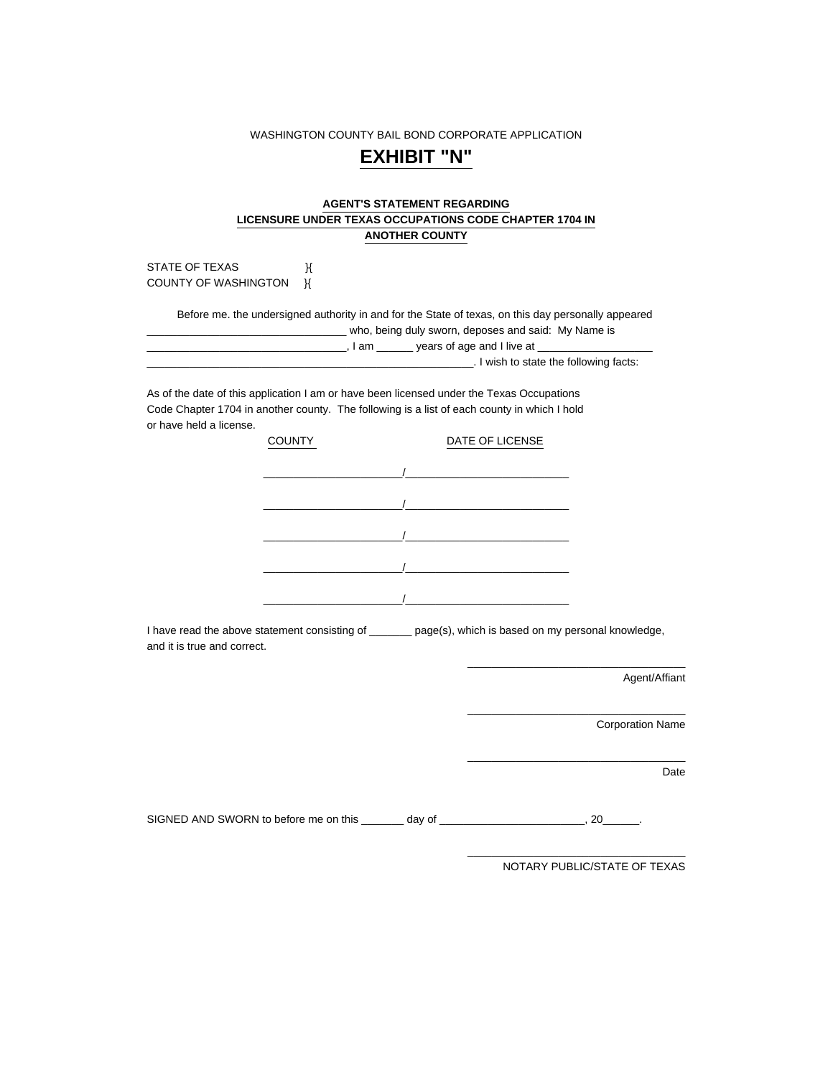## **EXHIBIT "N"**

#### **AGENT'S STATEMENT REGARDING LICENSURE UNDER TEXAS OCCUPATIONS CODE CHAPTER 1704 IN ANOTHER COUNTY**

STATE OF TEXAS  $\mathcal{H}$ COUNTY OF WASHINGTON **K** 

 Before me. the undersigned authority in and for the State of texas, on this day personally appeared \_\_\_\_\_\_\_\_ who, being duly sworn, deposes and said: My Name is \_\_\_\_\_\_\_\_\_\_\_\_\_\_\_\_\_\_\_\_\_\_\_\_\_\_\_\_\_\_\_\_\_, I am \_\_\_\_\_\_ years of age and I live at \_\_\_\_\_\_\_\_\_\_\_\_\_\_\_\_\_\_\_ \_\_\_\_\_\_\_\_\_\_\_\_\_\_\_\_\_\_\_\_\_\_\_\_\_\_\_\_\_\_\_\_\_\_\_\_\_\_\_\_\_\_\_\_\_\_\_\_\_\_\_\_\_\_. I wish to state the following facts:

As of the date of this application I am or have been licensed under the Texas Occupations Code Chapter 1704 in another county. The following is a list of each county in which I hold or have held a license.

| <b>COUNTY</b> | DATE OF LICENSE |
|---------------|-----------------|
|               |                 |
|               |                 |
|               |                 |
|               |                 |
|               |                 |

I have read the above statement consisting of \_\_\_\_\_\_\_ page(s), which is based on my personal knowledge, and it is true and correct.

Agent/Affiant

Corporation Name

Date

SIGNED AND SWORN to before me on this \_\_\_\_\_\_\_ day of \_\_\_\_\_\_\_\_\_\_\_\_\_\_\_\_\_\_\_\_\_\_\_\_, 20\_\_\_\_\_\_.

NOTARY PUBLIC/STATE OF TEXAS

\_\_\_\_\_\_\_\_\_\_\_\_\_\_\_\_\_\_\_\_\_\_\_\_\_\_\_\_\_\_\_\_\_\_\_\_

\_\_\_\_\_\_\_\_\_\_\_\_\_\_\_\_\_\_\_\_\_\_\_\_\_\_\_\_\_\_\_\_\_\_\_\_

\_\_\_\_\_\_\_\_\_\_\_\_\_\_\_\_\_\_\_\_\_\_\_\_\_\_\_\_\_\_\_\_\_\_\_\_

\_\_\_\_\_\_\_\_\_\_\_\_\_\_\_\_\_\_\_\_\_\_\_\_\_\_\_\_\_\_\_\_\_\_\_\_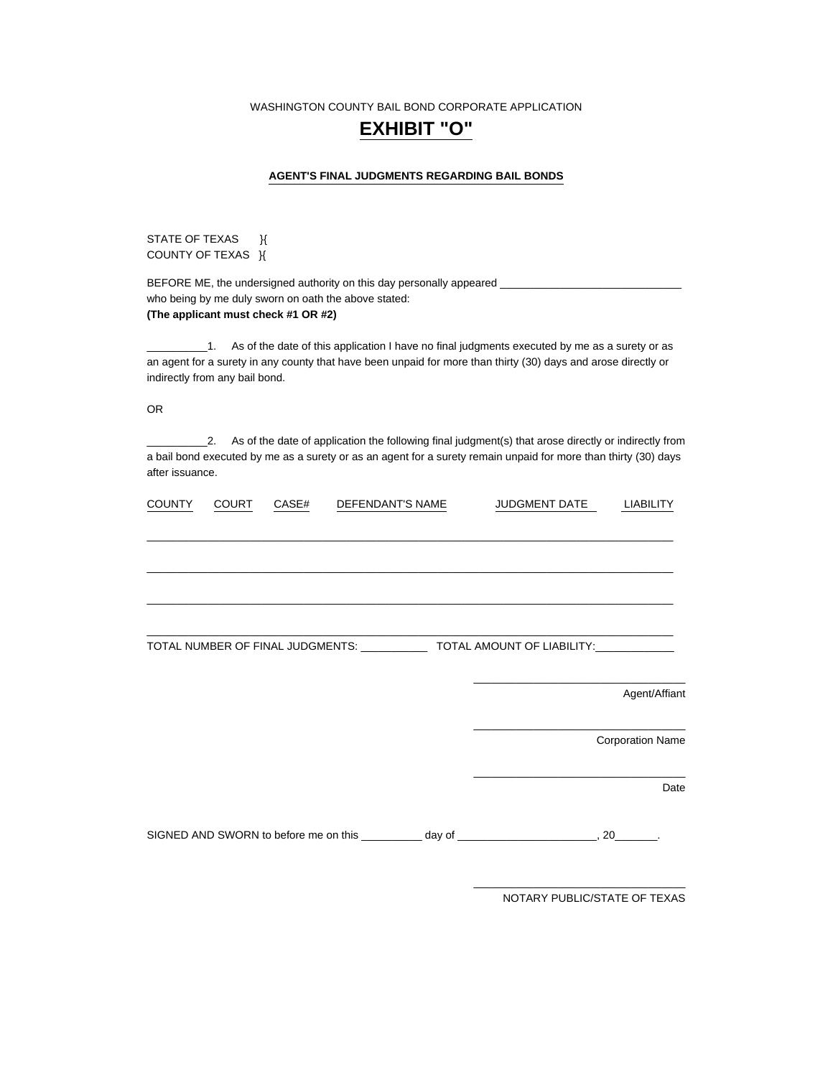### **EXHIBIT "O"**

#### **AGENT'S FINAL JUDGMENTS REGARDING BAIL BONDS**

STATE OF TEXAS } COUNTY OF TEXAS }{

BEFORE ME, the undersigned authority on this day personally appeared \_ who being by me duly sworn on oath the above stated: **(The applicant must check #1 OR #2)** 

\_\_\_\_\_\_\_\_\_\_1. As of the date of this application I have no final judgments executed by me as a surety or as an agent for a surety in any county that have been unpaid for more than thirty (30) days and arose directly or indirectly from any bail bond.

OR

\_\_\_\_\_\_\_\_\_\_2. As of the date of application the following final judgment(s) that arose directly or indirectly from a bail bond executed by me as a surety or as an agent for a surety remain unpaid for more than thirty (30) days after issuance.

| <b>COUNTY</b> | <b>COURT</b> | CASE# | DEFENDANT'S NAME | JUDGMENT DATE                                                                                  | LIABILITY               |
|---------------|--------------|-------|------------------|------------------------------------------------------------------------------------------------|-------------------------|
|               |              |       |                  |                                                                                                |                         |
|               |              |       |                  |                                                                                                |                         |
|               |              |       |                  |                                                                                                |                         |
|               |              |       |                  |                                                                                                |                         |
|               |              |       |                  | TOTAL NUMBER OF FINAL JUDGMENTS: _______________ TOTAL AMOUNT OF LIABILITY:____________        |                         |
|               |              |       |                  |                                                                                                |                         |
|               |              |       |                  |                                                                                                | Agent/Affiant           |
|               |              |       |                  |                                                                                                | <b>Corporation Name</b> |
|               |              |       |                  |                                                                                                | Date                    |
|               |              |       |                  | SIGNED AND SWORN to before me on this __________ day of _________________________, 20________. |                         |
|               |              |       |                  |                                                                                                |                         |

NOTARY PUBLIC/STATE OF TEXAS

\_\_\_\_\_\_\_\_\_\_\_\_\_\_\_\_\_\_\_\_\_\_\_\_\_\_\_\_\_\_\_\_\_\_\_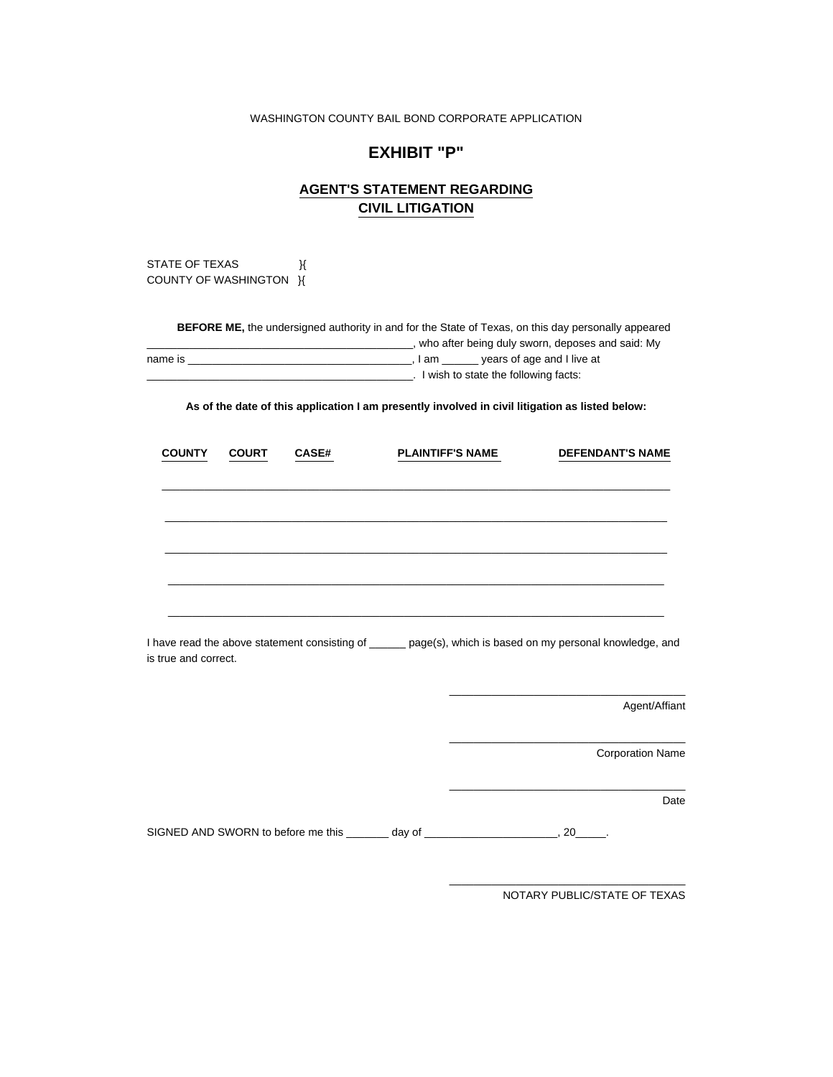### **EXHIBIT "P"**

### **AGENT'S STATEMENT REGARDING CIVIL LITIGATION**

STATE OF TEXAS  $\mathcal{H}$ COUNTY OF WASHINGTON H

| <b>BEFORE ME,</b> the undersigned authority in and for the State of Texas, on this day personally appeared |       |                                                  |  |  |  |
|------------------------------------------------------------------------------------------------------------|-------|--------------------------------------------------|--|--|--|
|                                                                                                            |       | who after being duly sworn, deposes and said: My |  |  |  |
| name is                                                                                                    | lam l | years of age and I live at                       |  |  |  |
|                                                                                                            |       | I wish to state the following facts:             |  |  |  |
|                                                                                                            |       |                                                  |  |  |  |

**As of the date of this application I am presently involved in civil litigation as listed below:** 

|                                                                                                                                    | <b>COUNTY</b> | <b>COURT</b> | <b>CASE#</b>                                                                                                          | <b>PLAINTIFF'S NAME</b> |  |                                                                                           | <b>DEFENDANT'S NAME</b> |  |
|------------------------------------------------------------------------------------------------------------------------------------|---------------|--------------|-----------------------------------------------------------------------------------------------------------------------|-------------------------|--|-------------------------------------------------------------------------------------------|-------------------------|--|
|                                                                                                                                    |               |              |                                                                                                                       |                         |  |                                                                                           |                         |  |
|                                                                                                                                    |               |              | <u> 1989 - Johann Stoff, deutscher Stoff, der Stoff, der Stoff, der Stoff, der Stoff, der Stoff, der Stoff, der S</u> |                         |  |                                                                                           |                         |  |
|                                                                                                                                    |               |              | <u> 1989 - Johann John Stone, markin bashkar (b. 1989)</u>                                                            |                         |  |                                                                                           |                         |  |
| I have read the above statement consisting of ______ page(s), which is based on my personal knowledge, and<br>is true and correct. |               |              |                                                                                                                       |                         |  |                                                                                           |                         |  |
|                                                                                                                                    |               |              |                                                                                                                       |                         |  | the control of the control of the control of the control of the control of the control of | Agent/Affiant           |  |
|                                                                                                                                    |               |              |                                                                                                                       |                         |  | the control of the control of the control of the control of the control of the control of | <b>Corporation Name</b> |  |
|                                                                                                                                    |               |              |                                                                                                                       |                         |  |                                                                                           | Date                    |  |
|                                                                                                                                    |               |              | SIGNED AND SWORN to before me this _______ day of _______________________, 20_____.                                   |                         |  |                                                                                           |                         |  |
|                                                                                                                                    |               |              |                                                                                                                       |                         |  |                                                                                           |                         |  |

NOTARY PUBLIC/STATE OF TEXAS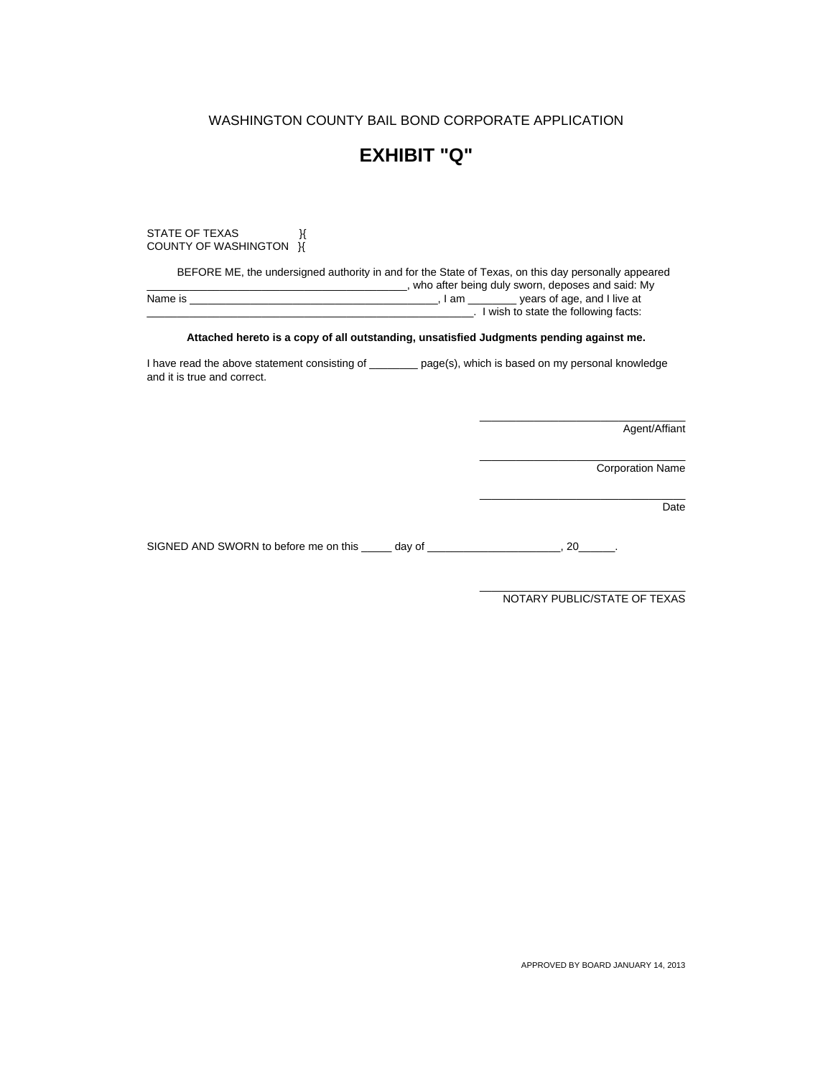### **EXHIBIT "Q"**

STATE OF TEXAS  $\mathcal{H}$ COUNTY OF WASHINGTON H

 BEFORE ME, the undersigned authority in and for the State of Texas, on this day personally appeared who after being duly sworn, deposes and said: My<br>Name is example is the same of age, and I live at the same is the same of age. and I live at Name is \_\_\_\_\_\_\_\_\_\_\_\_\_\_\_\_\_\_\_\_\_\_\_\_\_\_\_\_\_\_\_\_\_\_\_\_\_\_\_\_\_, I am \_\_\_\_\_\_\_\_ years of age, and I live at \_\_\_\_\_\_\_\_\_\_\_\_\_\_\_\_\_\_\_\_\_\_\_\_\_\_\_\_\_\_\_\_\_\_\_\_\_\_\_\_\_\_\_\_\_\_\_\_\_\_\_\_\_\_. I wish to state the following facts:

#### **Attached hereto is a copy of all outstanding, unsatisfied Judgments pending against me.**

I have read the above statement consisting of \_\_\_\_\_\_\_\_ page(s), which is based on my personal knowledge and it is true and correct.

Agent/Affiant

Corporation Name

Date

SIGNED AND SWORN to before me on this \_\_\_\_\_ day of \_\_\_\_\_\_\_\_\_\_\_\_\_\_\_\_\_\_\_\_\_\_, 20\_\_\_\_\_\_.

\_\_\_\_\_\_\_\_\_\_\_\_\_\_\_\_\_\_\_\_\_\_\_\_\_\_\_\_\_\_\_\_\_\_ NOTARY PUBLIC/STATE OF TEXAS

\_\_\_\_\_\_\_\_\_\_\_\_\_\_\_\_\_\_\_\_\_\_\_\_\_\_\_\_\_\_\_\_\_\_

\_\_\_\_\_\_\_\_\_\_\_\_\_\_\_\_\_\_\_\_\_\_\_\_\_\_\_\_\_\_\_\_\_\_

\_\_\_\_\_\_\_\_\_\_\_\_\_\_\_\_\_\_\_\_\_\_\_\_\_\_\_\_\_\_\_\_\_\_